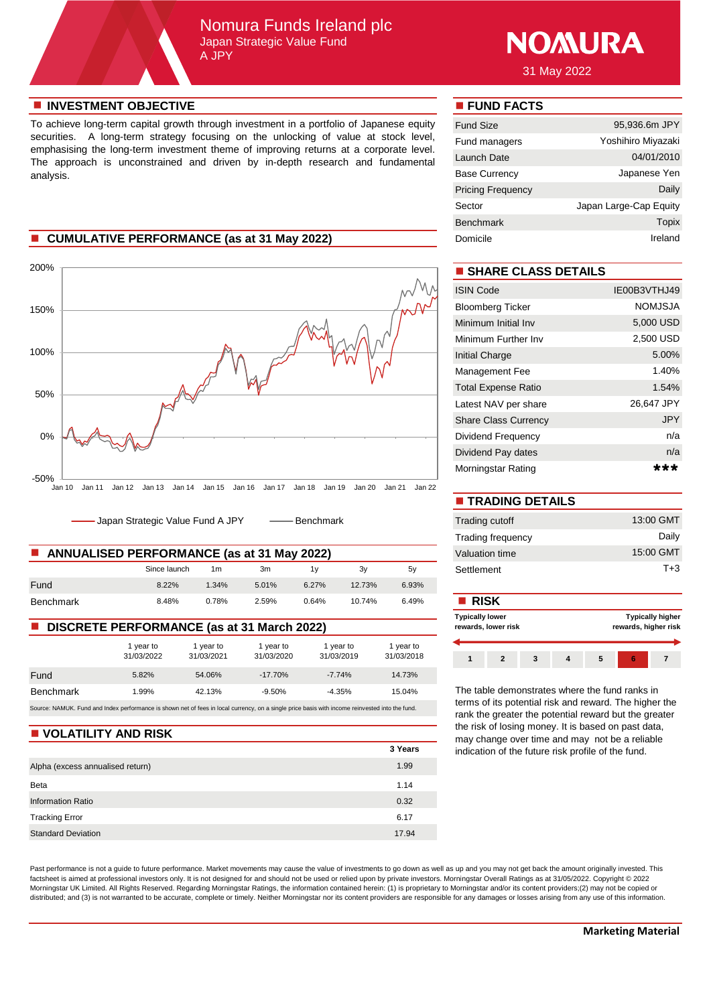# Nomura Funds Ireland plc Japan Strategic Value Fund A JPY



31 May 2022

## **n** INVESTMENT OBJECTIVE **n FUND FACTS**

To achieve long-term capital growth through investment in a portfolio of Japanese equity securities. A long-term strategy focusing on the unlocking of value at stock level, emphasising the long-term investment theme of improving returns at a corporate level. The approach is unconstrained and driven by in-depth research and fundamental analysis.

# **n** CUMULATIVE PERFORMANCE (as at 31 May 2022)



Japan Strategic Value Fund A JPY - -- Benchmark

| <b>ANNUALISED PERFORMANCE (as at 31 May 2022)</b><br>. . |              |       |       |       |        |       | Valuation time |
|----------------------------------------------------------|--------------|-------|-------|-------|--------|-------|----------------|
|                                                          | Since launch | 1m    | 3m    |       | 3v     | 5v    | Settlement     |
| Fund                                                     | $8.22\%$     | 1.34% | 5.01% | 6.27% | 12.73% | 6.93% |                |
| Benchmark                                                | 8.48%        | 0.78% | 2.59% | 0.64% | 10.74% | 6.49% | <b>RISK</b>    |

### ■ **DISCRETE PERFORMANCE** (as at 31 March 2022)

|                                                                                                                                                 | 1 year to<br>31/03/2022 | 1 year to<br>31/03/2021 | 1 year to<br>31/03/2020 | 1 year to<br>31/03/2019 | 1 year to<br>31/03/2018 |
|-------------------------------------------------------------------------------------------------------------------------------------------------|-------------------------|-------------------------|-------------------------|-------------------------|-------------------------|
| Fund                                                                                                                                            | 5.82%                   | 54.06%                  | $-17.70%$               | $-7.74%$                | 14.73%                  |
| <b>Benchmark</b>                                                                                                                                | 1.99%                   | 42.13%                  | $-9.50%$                | $-4.35%$                | 15.04%                  |
| Source: NAMUK. Fund and Index performance is shown net of fees in local currency, on a single price basis with income reinvested into the fund. |                         |                         |                         |                         |                         |

### **N** VOLATILITY AND RISK

|                                  | 3 Years |
|----------------------------------|---------|
| Alpha (excess annualised return) | 1.99    |
| Beta                             | 1.14    |
| Information Ratio                | 0.32    |
| <b>Tracking Error</b>            | 6.17    |
| <b>Standard Deviation</b>        | 17.94   |

Past performance is not a guide to future performance. Market movements may cause the value of investments to go down as well as up and you may not get back the amount originally invested. This factsheet is aimed at professional investors only. It is not designed for and should not be used or relied upon by private investors. Morningstar Overall Ratings as at 31/05/2022. Copyright © 2022 Morningstar UK Limited. All Rights Reserved. Regarding Morningstar Ratings, the information contained herein: (1) is proprietary to Morningstar and/or its content providers;(2) may not be copied or distributed; and (3) is not warranted to be accurate, complete or timely. Neither Morningstar nor its content providers are responsible for any damages or losses arising from any use of this information.

| <b>Fund Size</b>         | 95,936.6m JPY          |
|--------------------------|------------------------|
| Fund managers            | Yoshihiro Miyazaki     |
| Launch Date              | 04/01/2010             |
| <b>Base Currency</b>     | Japanese Yen           |
| <b>Pricing Frequency</b> | Daily                  |
| Sector                   | Japan Large-Cap Equity |
| <b>Benchmark</b>         | Topix                  |
| Domicile                 | Ireland                |

# $\blacksquare$  **SHARE CLASS DETAILS**

| <b>ISIN Code</b>            | IE00B3VTHJ49   |
|-----------------------------|----------------|
| <b>Bloomberg Ticker</b>     | <b>NOMJSJA</b> |
| Minimum Initial Inv         | 5,000 USD      |
| Minimum Further Inv         | 2.500 USD      |
| Initial Charge              | 5.00%          |
| Management Fee              | 1.40%          |
| <b>Total Expense Ratio</b>  | 1.54%          |
| Latest NAV per share        | 26.647 JPY     |
| <b>Share Class Currency</b> | <b>JPY</b>     |
| Dividend Frequency          | n/a            |
| Dividend Pay dates          | n/a            |
| Morningstar Rating          |                |

| <b>TRADING DETAILS</b>   |           |
|--------------------------|-----------|
| <b>Trading cutoff</b>    | 13:00 GMT |
| <b>Trading frequency</b> | Daily     |
| Valuation time           | 15:00 GMT |
| Settlement               | $T + 3$   |

## **Typically higher rewards, higher risk 1 2 3 4 5 6 7 Typically lower rewards, lower risk**

The table demonstrates where the fund ranks in terms of its potential risk and reward. The higher the rank the greater the potential reward but the greater the risk of losing money. It is based on past data, may change over time and may not be a reliable indication of the future risk profile of the fund.